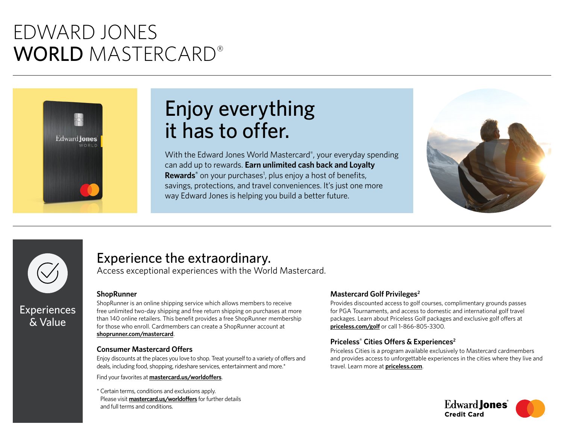# EDWARD JONES WORLD MASTERCARD®



# Enjoy everything it has to offer.

With the Edward Jones World Mastercard®, your everyday spending can add up to rewards. **Earn unlimited cash back and Loyalty**  Rewards<sup>®</sup> on your purchases<sup>1</sup>, plus enjoy a host of benefits, savings, protections, and travel conveniences. It's just one more way Edward Jones is helping you build a better future.





## Experience the extraordinary.

Access exceptional experiences with the World Mastercard.

### **ShopRunner**

ShopRunner is an online shipping service which allows members to receive free unlimited two-day shipping and free return shipping on purchases at more than 140 online retailers. This benefit provides a free ShopRunner membership for those who enroll. Cardmembers can create a ShopRunner account at **[shoprunner.com/mastercard](https://shoprunner.com/mastercard)**.

### **Consumer Mastercard Offers**

Enjoy discounts at the places you love to shop. Treat yourself to a variety of offers and deals, including food, shopping, rideshare services, entertainment and more.\*

Find your favorites at **[mastercard.us/worldoffers](https://mastercard.us/worldoffers)**.

\* Certain terms, conditions and exclusions apply. Please visit **[mastercard.us/worldoffers](https://mastercard.us/worldoffers)** for further details and full terms and conditions.

### **Mastercard Golf Privileges2**

Provides discounted access to golf courses, complimentary grounds passes for PGA Tournaments, and access to domestic and international golf travel packages. Learn about Priceless Golf packages and exclusive golf offers at **[priceless.com/golf](https://priceless.com/golf)** or call 1-866-805-3300.

### **Priceless® Cities Offers & Experiences2**

Priceless Cities is a program available exclusively to Mastercard cardmembers and provides access to unforgettable experiences in the cities where they live and travel. Learn more at **[priceless.com](https://priceless.com/)**.

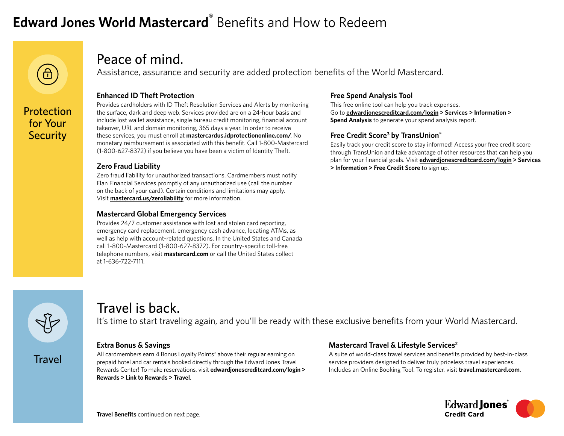# **Edward Jones World Mastercard**® Benefits and How to Redeem



Protection for Your **Security** 

### Peace of mind.

Assistance, assurance and security are added protection benefits of the World Mastercard.

### **Enhanced ID Theft Protection**

Provides cardholders with ID Theft Resolution Services and Alerts by monitoring the surface, dark and deep web. Services provided are on a 24-hour basis and include lost wallet assistance, single bureau credit monitoring, financial account takeover, URL and domain monitoring, 365 days a year. In order to receive these services, you must enroll at **[mastercardus.idprotectiononline.com/](https://mastercardus.idprotectiononline.com/)**. No monetary reimbursement is associated with this benefit. Call 1-800-Mastercard (1-800-627-8372) if you believe you have been a victim of Identity Theft.

### **Zero Fraud Liability**

Zero fraud liability for unauthorized transactions. Cardmembers must notify Elan Financial Services promptly of any unauthorized use (call the number on the back of your card). Certain conditions and limitations may apply. Visit **[mastercard.us/zeroliability](https://mastercard.us/zeroliability)** for more information.

### **Mastercard Global Emergency Services**

Provides 24/7 customer assistance with lost and stolen card reporting, emergency card replacement, emergency cash advance, locating ATMs, as well as help with account-related questions. In the United States and Canada call 1-800-Mastercard (1-800-627-8372). For country-specific toll-free telephone numbers, visit **[mastercard.com](https://mastercard.com/)** or call the United States collect at 1-636-722-7111.

### **Free Spend Analysis Tool**

This free online tool can help you track expenses. Go to **[edwardjonescreditcard.com/login](https://edwardjonescreditcard.com/login) > Services > Information > Spend Analysis** to generate your spend analysis report.

### **Free Credit Score3 by TransUnion®**

Easily track your credit score to stay informed! Access your free credit score through TransUnion and take advantage of other resources that can help you plan for your financial goals. Visit **[edwardjonescreditcard.com/login](https://edwardjonescreditcard.com/login) > Services > Information > Free Credit Score** to sign up.



**Travel** 

### Travel is back.

It's time to start traveling again, and you'll be ready with these exclusive benefits from your World Mastercard.

### **Extra Bonus & Savings**

All cardmembers earn 4 Bonus Loyalty Points® above their regular earning on prepaid hotel and car rentals booked directly through the Edward Jones Travel Rewards Center! To make reservations, visit **[edwardjonescreditcard.com/login](https://edwardjonescreditcard.com/login) > Rewards > Link to Rewards > Travel**.

### **Mastercard Travel & Lifestyle Services2**

A suite of world-class travel services and benefits provided by best-in-class service providers designed to deliver truly priceless travel experiences. Includes an Online Booking Tool. To register, visit **[travel.mastercard.com](https://travel.mastercard.com/)**.